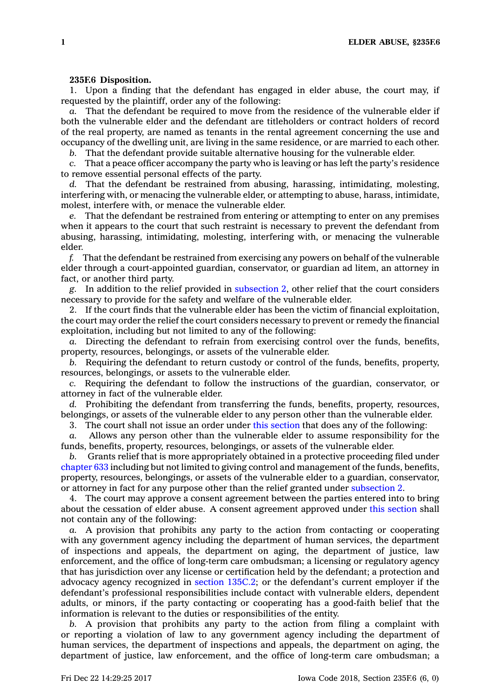## **235F.6 Disposition.**

1. Upon <sup>a</sup> finding that the defendant has engaged in elder abuse, the court may, if requested by the plaintiff, order any of the following:

*a.* That the defendant be required to move from the residence of the vulnerable elder if both the vulnerable elder and the defendant are titleholders or contract holders of record of the real property, are named as tenants in the rental agreement concerning the use and occupancy of the dwelling unit, are living in the same residence, or are married to each other.

*b.* That the defendant provide suitable alternative housing for the vulnerable elder.

*c.* That <sup>a</sup> peace officer accompany the party who is leaving or has left the party's residence to remove essential personal effects of the party.

*d.* That the defendant be restrained from abusing, harassing, intimidating, molesting, interfering with, or menacing the vulnerable elder, or attempting to abuse, harass, intimidate, molest, interfere with, or menace the vulnerable elder.

*e.* That the defendant be restrained from entering or attempting to enter on any premises when it appears to the court that such restraint is necessary to prevent the defendant from abusing, harassing, intimidating, molesting, interfering with, or menacing the vulnerable elder.

*f.* That the defendant be restrained from exercising any powers on behalf of the vulnerable elder through <sup>a</sup> court-appointed guardian, conservator, or guardian ad litem, an attorney in fact, or another third party.

*g.* In addition to the relief provided in [subsection](https://www.legis.iowa.gov/docs/code/235F.6.pdf) 2, other relief that the court considers necessary to provide for the safety and welfare of the vulnerable elder.

2. If the court finds that the vulnerable elder has been the victim of financial exploitation, the court may order the relief the court considers necessary to prevent or remedy the financial exploitation, including but not limited to any of the following:

*a.* Directing the defendant to refrain from exercising control over the funds, benefits, property, resources, belongings, or assets of the vulnerable elder.

*b.* Requiring the defendant to return custody or control of the funds, benefits, property, resources, belongings, or assets to the vulnerable elder.

*c.* Requiring the defendant to follow the instructions of the guardian, conservator, or attorney in fact of the vulnerable elder.

*d.* Prohibiting the defendant from transferring the funds, benefits, property, resources, belongings, or assets of the vulnerable elder to any person other than the vulnerable elder.

3. The court shall not issue an order under this [section](https://www.legis.iowa.gov/docs/code/235F.6.pdf) that does any of the following:

*a.* Allows any person other than the vulnerable elder to assume responsibility for the funds, benefits, property, resources, belongings, or assets of the vulnerable elder.

*b.* Grants relief that is more appropriately obtained in <sup>a</sup> protective proceeding filed under [chapter](https://www.legis.iowa.gov/docs/code//633.pdf) 633 including but not limited to giving control and management of the funds, benefits, property, resources, belongings, or assets of the vulnerable elder to <sup>a</sup> guardian, conservator, or attorney in fact for any purpose other than the relief granted under [subsection](https://www.legis.iowa.gov/docs/code/235F.6.pdf) 2.

4. The court may approve <sup>a</sup> consent agreement between the parties entered into to bring about the cessation of elder abuse. A consent agreement approved under this [section](https://www.legis.iowa.gov/docs/code/235F.6.pdf) shall not contain any of the following:

*a.* A provision that prohibits any party to the action from contacting or cooperating with any government agency including the department of human services, the department of inspections and appeals, the department on aging, the department of justice, law enforcement, and the office of long-term care ombudsman; <sup>a</sup> licensing or regulatory agency that has jurisdiction over any license or certification held by the defendant; <sup>a</sup> protection and advocacy agency recognized in section [135C.2](https://www.legis.iowa.gov/docs/code/135C.2.pdf); or the defendant's current employer if the defendant's professional responsibilities include contact with vulnerable elders, dependent adults, or minors, if the party contacting or cooperating has <sup>a</sup> good-faith belief that the information is relevant to the duties or responsibilities of the entity.

*b.* A provision that prohibits any party to the action from filing <sup>a</sup> complaint with or reporting <sup>a</sup> violation of law to any government agency including the department of human services, the department of inspections and appeals, the department on aging, the department of justice, law enforcement, and the office of long-term care ombudsman; <sup>a</sup>